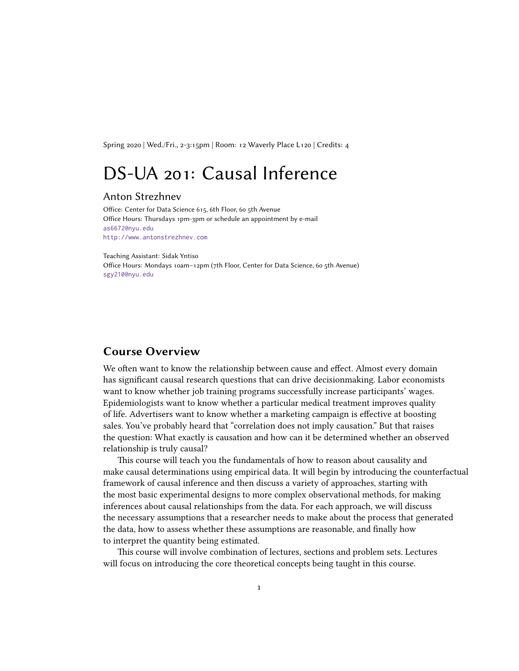Spring 2020 | Wed./Fri., 2-3:15pm | Room: 12 Waverly Place L120 | Credits: 4

# DS-UA 201: Causal Inference

#### Anton Strezhnev

Office: Center for Data Science 615, 6th Floor, 60 5th Avenue Office Hours: Thursdays 1pm-3pm or schedule an appointment by e-mail [as6672@nyu.edu](mailto:as6672@nyu.edu) <http://www.antonstrezhnev.com>

Teaching Assistant: Sidak Yntiso

Office Hours: Mondays 10am–12pm (7th Floor, Center for Data Science, 60 5th Avenue) [sgy210@nyu.edu](mailto:sgy210@nyu.edu)

# **Course Overview**

We often want to know the relationship between cause and effect. Almost every domain has significant causal research questions that can drive decisionmaking. Labor economists want to know whether job training programs successfully increase participants' wages. Epidemiologists want to know whether a particular medical treatment improves quality of life. Advertisers want to know whether a marketing campaign is effective at boosting sales. You've probably heard that "correlation does not imply causation." But that raises the question: What exactly is causation and how can it be determined whether an observed relationship is truly causal?

This course will teach you the fundamentals of how to reason about causality and make causal determinations using empirical data. It will begin by introducing the counterfactual framework of causal inference and then discuss a variety of approaches, starting with the most basic experimental designs to more complex observational methods, for making inferences about causal relationships from the data. For each approach, we will discuss the necessary assumptions that a researcher needs to make about the process that generated the data, how to assess whether these assumptions are reasonable, and finally how to interpret the quantity being estimated.

This course will involve combination of lectures, sections and problem sets. Lectures will focus on introducing the core theoretical concepts being taught in this course.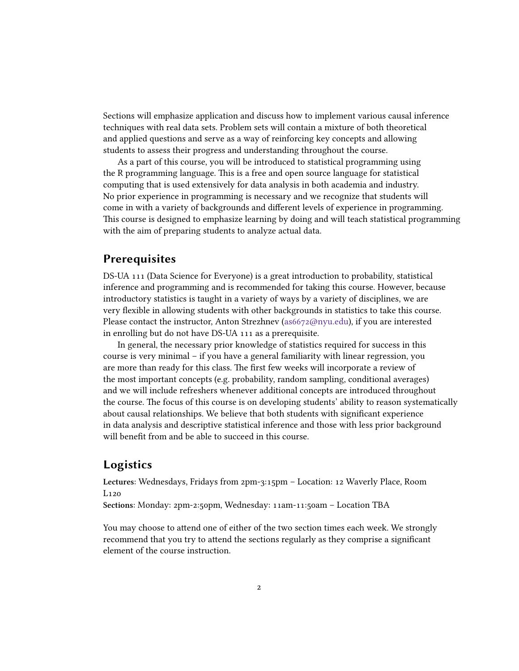Sections will emphasize application and discuss how to implement various causal inference techniques with real data sets. Problem sets will contain a mixture of both theoretical and applied questions and serve as a way of reinforcing key concepts and allowing students to assess their progress and understanding throughout the course.

As a part of this course, you will be introduced to statistical programming using the R programming language. This is a free and open source language for statistical computing that is used extensively for data analysis in both academia and industry. No prior experience in programming is necessary and we recognize that students will come in with a variety of backgrounds and different levels of experience in programming. This course is designed to emphasize learning by doing and will teach statistical programming with the aim of preparing students to analyze actual data.

# **Prerequisites**

DS-UA 111 (Data Science for Everyone) is a great introduction to probability, statistical inference and programming and is recommended for taking this course. However, because introductory statistics is taught in a variety of ways by a variety of disciplines, we are very flexible in allowing students with other backgrounds in statistics to take this course. Please contact the instructor, Anton Strezhnev([as6672@nyu.edu](mailto:as6672@nyu.edu)), if you are interested in enrolling but do not have DS-UA 111 as a prerequisite.

In general, the necessary prior knowledge of statistics required for success in this course is very minimal – if you have a general familiarity with linear regression, you are more than ready for this class. The first few weeks will incorporate a review of the most important concepts (e.g. probability, random sampling, conditional averages) and we will include refreshers whenever additional concepts are introduced throughout the course. The focus of this course is on developing students' ability to reason systematically about causal relationships. We believe that both students with significant experience in data analysis and descriptive statistical inference and those with less prior background will benefit from and be able to succeed in this course.

# **Logistics**

**Lectures**: Wednesdays, Fridays from 2pm-3:15pm – Location: 12 Waverly Place, Room L120

**Sections**: Monday: 2pm-2:50pm, Wednesday: 11am-11:50am – Location TBA

You may choose to attend one of either of the two section times each week. We strongly recommend that you try to attend the sections regularly as they comprise a significant element of the course instruction.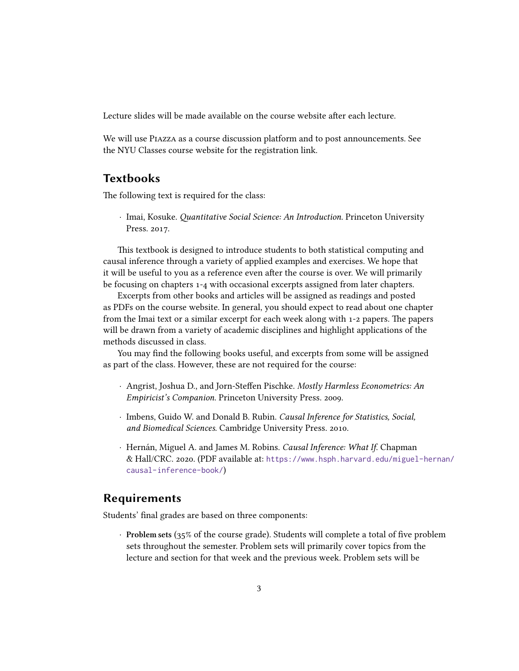Lecture slides will be made available on the course website after each lecture.

We will use Piazza as a course discussion platform and to post announcements. See the NYU Classes course website for the registration link.

# **Textbooks**

The following text is required for the class:

*·* Imai, Kosuke. *Quantitative Social Science: An Introduction*. Princeton University Press. 2017.

This textbook is designed to introduce students to both statistical computing and causal inference through a variety of applied examples and exercises. We hope that it will be useful to you as a reference even after the course is over. We will primarily be focusing on chapters 1-4 with occasional excerpts assigned from later chapters.

Excerpts from other books and articles will be assigned as readings and posted as PDFs on the course website. In general, you should expect to read about one chapter from the Imai text or a similar excerpt for each week along with 1-2 papers. The papers will be drawn from a variety of academic disciplines and highlight applications of the methods discussed in class.

You may find the following books useful, and excerpts from some will be assigned as part of the class. However, these are not required for the course:

- *·* Angrist, Joshua D., and Jorn-Steffen Pischke. *Mostly Harmless Econometrics: An Empiricist's Companion*. Princeton University Press. 2009.
- *·* Imbens, Guido W. and Donald B. Rubin. *Causal Inference for Statistics, Social, and Biomedical Sciences*. Cambridge University Press. 2010.
- *·* Hernán, Miguel A. and James M. Robins. *Causal Inference: What If*. Chapman & Hall/CRC. 2020. (PDF available at: [https://www.hsph.harvard.edu/miguel-hernan/](https://www.hsph.harvard.edu/miguel-hernan/causal-inference-book/) [causal-inference-book/](https://www.hsph.harvard.edu/miguel-hernan/causal-inference-book/))

# **Requirements**

Students' final grades are based on three components:

*·* **Problem sets** (35% of the course grade). Students will complete a total of five problem sets throughout the semester. Problem sets will primarily cover topics from the lecture and section for that week and the previous week. Problem sets will be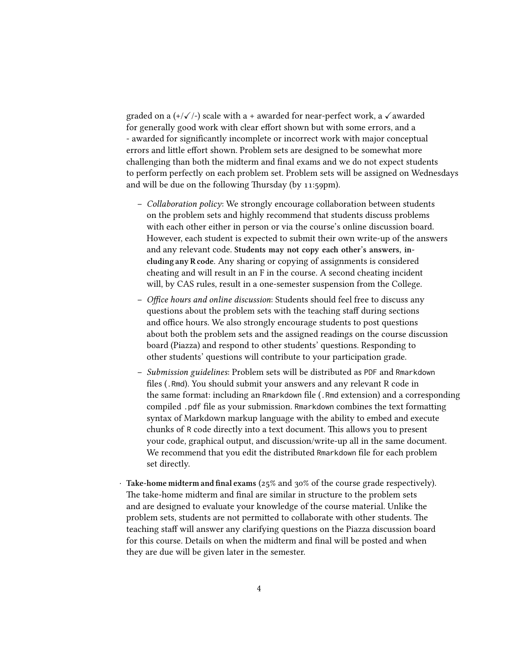graded on a  $(+/\sqrt{-})$  scale with a + awarded for near-perfect work, a  $\sqrt{\alpha}$  awarded for generally good work with clear effort shown but with some errors, and a - awarded for significantly incomplete or incorrect work with major conceptual errors and little effort shown. Problem sets are designed to be somewhat more challenging than both the midterm and final exams and we do not expect students to perform perfectly on each problem set. Problem sets will be assigned on Wednesdays and will be due on the following Thursday (by 11:59pm).

- **–** *Collaboration policy*: We strongly encourage collaboration between students on the problem sets and highly recommend that students discuss problems with each other either in person or via the course's online discussion board. However, each student is expected to submit their own write-up of the answers and any relevant code. **Students may not copy each other's answers, including any R code.** Any sharing or copying of assignments is considered cheating and will result in an F in the course. A second cheating incident will, by CAS rules, result in a one-semester suspension from the College.
- **–** *Office hours and online discussion*: Students should feel free to discuss any questions about the problem sets with the teaching staff during sections and office hours. We also strongly encourage students to post questions about both the problem sets and the assigned readings on the course discussion board (Piazza) and respond to other students' questions. Responding to other students' questions will contribute to your participation grade.
- **–** *Submission guidelines*: Problem sets will be distributed as PDF and Rmarkdown files (.Rmd). You should submit your answers and any relevant R code in the same format: including an Rmarkdown file (.Rmd extension) and a corresponding compiled .pdf file as your submission. Rmarkdown combines the text formatting syntax of Markdown markup language with the ability to embed and execute chunks of R code directly into a text document. This allows you to present your code, graphical output, and discussion/write-up all in the same document. We recommend that you edit the distributed Rmarkdown file for each problem set directly.
- *·* **Take-home midterm and final exams** (25% and 30% of the course grade respectively). The take-home midterm and final are similar in structure to the problem sets and are designed to evaluate your knowledge of the course material. Unlike the problem sets, students are not permitted to collaborate with other students. The teaching staff will answer any clarifying questions on the Piazza discussion board for this course. Details on when the midterm and final will be posted and when they are due will be given later in the semester.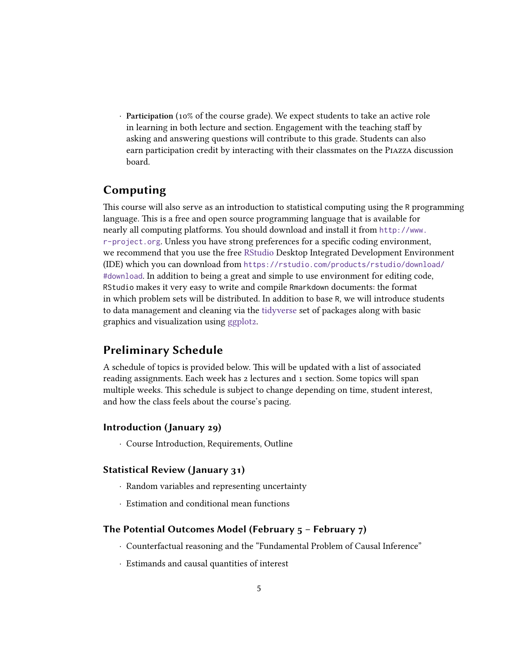*·* **Participation** (10% of the course grade). We expect students to take an active role in learning in both lecture and section. Engagement with the teaching staff by asking and answering questions will contribute to this grade. Students can also earn participation credit by interacting with their classmates on the Piazza discussion board.

# **Computing**

This course will also serve as an introduction to statistical computing using the R programming language. This is a free and open source programming language that is available for nearly all computing platforms. You should download and install it from [http://www.](http://www.r-project.org) [r-project.org](http://www.r-project.org). Unless you have strong preferences for a specific coding environment, we recommend that you use the free [RStudio](https://rstudio.com) Desktop Integrated Development Environment (IDE) which you can download from [https://rstudio.com/products/rstudio/download/](https://rstudio.com/products/rstudio/download/#download) [#download](https://rstudio.com/products/rstudio/download/#download). In addition to being a great and simple to use environment for editing code, RStudio makes it very easy to write and compile Rmarkdown documents: the format in which problem sets will be distributed. In addition to base R, we will introduce students to data management and cleaning via the [tidyverse](https://www.tidyverse.org/) set of packages along with basic graphics and visualization using [ggplot2](https://ggplot2.tidyverse.org/).

# **Preliminary Schedule**

A schedule of topics is provided below. This will be updated with a list of associated reading assignments. Each week has 2 lectures and 1 section. Some topics will span multiple weeks. This schedule is subject to change depending on time, student interest, and how the class feels about the course's pacing.

### **Introduction (January 29)**

*·* Course Introduction, Requirements, Outline

#### **Statistical Review (January 31)**

- *·* Random variables and representing uncertainty
- *·* Estimation and conditional mean functions

### **The Potential Outcomes Model (February 5 – February 7)**

- *·* Counterfactual reasoning and the "Fundamental Problem of Causal Inference"
- *·* Estimands and causal quantities of interest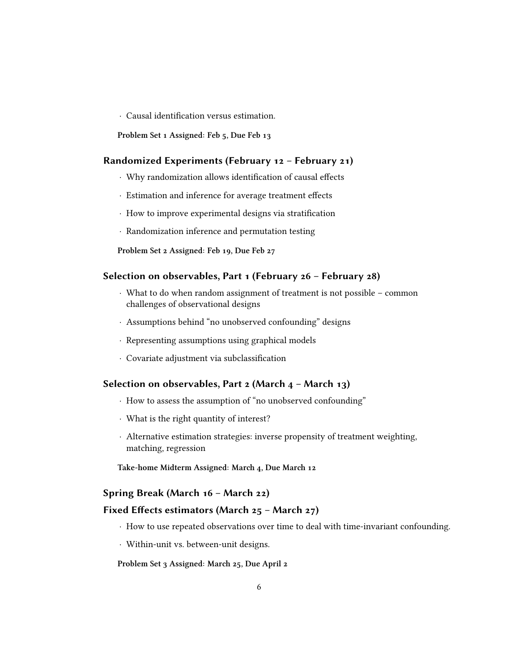*·* Causal identification versus estimation.

**Problem Set 1 Assigned: Feb 5, Due Feb 13**

#### **Randomized Experiments (February 12 – February 21)**

- *·* Why randomization allows identification of causal effects
- *·* Estimation and inference for average treatment effects
- *·* How to improve experimental designs via stratification
- *·* Randomization inference and permutation testing

**Problem Set 2 Assigned: Feb 19, Due Feb 27**

### **Selection on observables, Part 1 (February 26 – February 28)**

- *·* What to do when random assignment of treatment is not possible common challenges of observational designs
- *·* Assumptions behind "no unobserved confounding" designs
- *·* Representing assumptions using graphical models
- *·* Covariate adjustment via subclassification

#### **Selection on observables, Part 2 (March 4 – March 13)**

- *·* How to assess the assumption of "no unobserved confounding"
- *·* What is the right quantity of interest?
- *·* Alternative estimation strategies: inverse propensity of treatment weighting, matching, regression

**Take-home Midterm Assigned: March 4, Due March 12**

#### **Spring Break (March 16 – March 22)**

#### **Fixed Effects estimators (March 25 – March 27)**

- *·* How to use repeated observations over time to deal with time-invariant confounding.
- *·* Within-unit vs. between-unit designs.

**Problem Set 3 Assigned: March 25, Due April 2**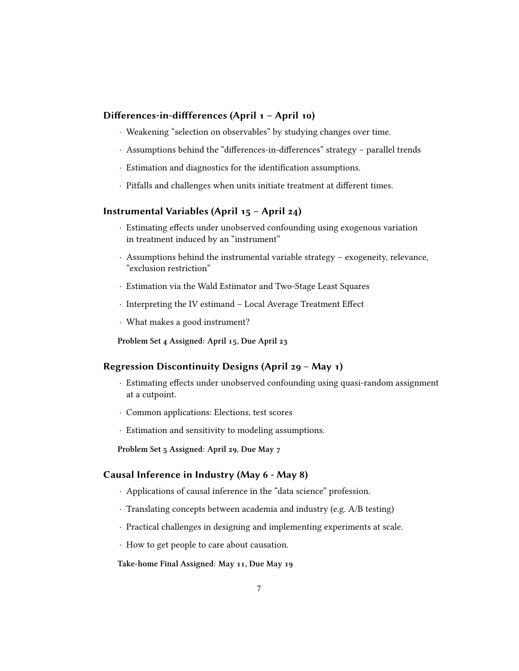#### **Differences-in-diffferences (April 1 – April 10)**

- *·* Weakening "selection on observables" by studying changes over time.
- *·* Assumptions behind the "differences-in-differences" strategy parallel trends
- *·* Estimation and diagnostics for the identification assumptions.
- *·* Pitfalls and challenges when units initiate treatment at different times.

### **Instrumental Variables (April 15 – April 24)**

- *·* Estimating effects under unobserved confounding using exogenous variation in treatment induced by an "instrument"
- *·* Assumptions behind the instrumental variable strategy exogeneity, relevance, "exclusion restriction"
- *·* Estimation via the Wald Estimator and Two-Stage Least Squares
- *·* Interpreting the IV estimand Local Average Treatment Effect
- *·* What makes a good instrument?

**Problem Set 4 Assigned: April 15, Due April 23**

### **Regression Discontinuity Designs (April 29 – May 1)**

- *·* Estimating effects under unobserved confounding using quasi-random assignment at a cutpoint.
- *·* Common applications: Elections, test scores
- *·* Estimation and sensitivity to modeling assumptions.

**Problem Set 5 Assigned: April 29, Due May 7**

### **Causal Inference in Industry (May 6 - May 8)**

- *·* Applications of causal inference in the "data science" profession.
- *·* Translating concepts between academia and industry (e.g. A/B testing)
- *·* Practical challenges in designing and implementing experiments at scale.
- *·* How to get people to care about causation.

**Take-home Final Assigned: May 11, Due May 19**